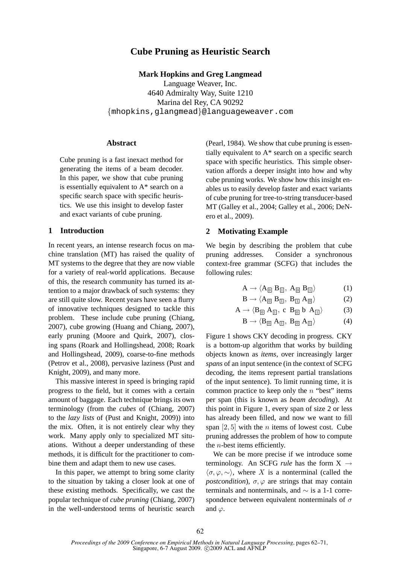# **Cube Pruning as Heuristic Search**

**Mark Hopkins and Greg Langmead**

Language Weaver, Inc. 4640 Admiralty Way, Suite 1210 Marina del Rey, CA 90292 {mhopkins,glangmead}@languageweaver.com

## **Abstract**

Cube pruning is a fast inexact method for generating the items of a beam decoder. In this paper, we show that cube pruning is essentially equivalent to A\* search on a specific search space with specific heuristics. We use this insight to develop faster and exact variants of cube pruning.

## **1 Introduction**

In recent years, an intense research focus on machine translation (MT) has raised the quality of MT systems to the degree that they are now viable for a variety of real-world applications. Because of this, the research community has turned its attention to a major drawback of such systems: they are still quite slow. Recent years have seen a flurry of innovative techniques designed to tackle this problem. These include cube pruning (Chiang, 2007), cube growing (Huang and Chiang, 2007), early pruning (Moore and Quirk, 2007), closing spans (Roark and Hollingshead, 2008; Roark and Hollingshead, 2009), coarse-to-fine methods (Petrov et al., 2008), pervasive laziness (Pust and Knight, 2009), and many more.

This massive interest in speed is bringing rapid progress to the field, but it comes with a certain amount of baggage. Each technique brings its own terminology (from the *cubes* of (Chiang, 2007) to the *lazy lists* of (Pust and Knight, 2009)) into the mix. Often, it is not entirely clear why they work. Many apply only to specialized MT situations. Without a deeper understanding of these methods, it is difficult for the practitioner to combine them and adapt them to new use cases.

In this paper, we attempt to bring some clarity to the situation by taking a closer look at one of these existing methods. Specifically, we cast the popular technique of *cube pruning* (Chiang, 2007) in the well-understood terms of heuristic search (Pearl, 1984). We show that cube pruning is essentially equivalent to A\* search on a specific search space with specific heuristics. This simple observation affords a deeper insight into how and why cube pruning works. We show how this insight enables us to easily develop faster and exact variants of cube pruning for tree-to-string transducer-based MT (Galley et al., 2004; Galley et al., 2006; DeNero et al., 2009).

## **2 Motivating Example**

We begin by describing the problem that cube pruning addresses. Consider a synchronous context-free grammar (SCFG) that includes the following rules:

$$
A \to \langle A_{\text{O}} \; B_{\text{I}} \, , \; A_{\text{O}} \; B_{\text{I}} \rangle \tag{1}
$$

$$
\mathbf{B} \to \langle \mathbf{A}_{\text{O}} \; \mathbf{B}_{\text{I}} \, , \; \mathbf{B}_{\text{I}} \; \mathbf{A}_{\text{O}} \rangle \tag{2}
$$

$$
A \to \langle B_{\text{O}} \, A_{\text{I}} \rangle, \ c \, B_{\text{O}} \, b \, A_{\text{I}} \rangle \tag{3}
$$

$$
\mathbf{B} \to \langle \mathbf{B}_{\text{[0]}} \, \mathbf{A}_{\text{[1]}}, \, \mathbf{B}_{\text{[0]}} \, \mathbf{A}_{\text{[1]}} \rangle \tag{4}
$$

Figure 1 shows CKY decoding in progress. CKY is a bottom-up algorithm that works by building objects known as *items*, over increasingly larger *spans* of an input sentence (in the context of SCFG decoding, the items represent partial translations of the input sentence). To limit running time, it is common practice to keep only the  $n$  "best" items per span (this is known as *beam decoding*). At this point in Figure 1, every span of size 2 or less has already been filled, and now we want to fill span  $[2, 5]$  with the *n* items of lowest cost. Cube pruning addresses the problem of how to compute the  $n$ -best items efficiently.

We can be more precise if we introduce some terminology. An SCFG *rule* has the form  $X \rightarrow$  $\langle \sigma, \varphi, \sim \rangle$ , where X is a nonterminal (called the *postcondition*),  $\sigma$ ,  $\varphi$  are strings that may contain terminals and nonterminals, and ∼ is a 1-1 correspondence between equivalent nonterminals of  $\sigma$ and  $\varphi$ .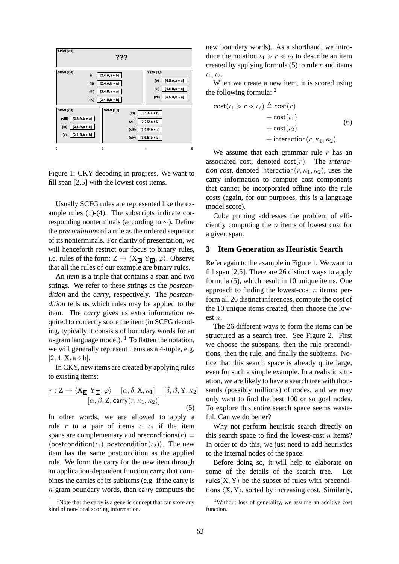

Figure 1: CKY decoding in progress. We want to fill span [2,5] with the lowest cost items.

Usually SCFG rules are represented like the example rules (1)-(4). The subscripts indicate corresponding nonterminals (according to ∼). Define the *preconditions* of a rule as the ordered sequence of its nonterminals. For clarity of presentation, we will henceforth restrict our focus to binary rules, i.e. rules of the form:  $Z \rightarrow \langle X_{\boxed{0}} | Y_{\boxed{1}}, \varphi \rangle$ . Observe that all the rules of our example are binary rules.

An *item* is a triple that contains a span and two strings. We refer to these strings as the *postcondition* and the *carry*, respectively. The *postcondition* tells us which rules may be applied to the item. The *carry* gives us extra information required to correctly score the item (in SCFG decoding, typically it consists of boundary words for an  $n$ -gram language model). <sup>1</sup> To flatten the notation, we will generally represent items as a 4-tuple, e.g.  $[2, 4, X, a \diamond b]$ .

In CKY, new items are created by applying rules to existing items:

$$
\frac{r:Z \to \langle X_{\text{O}} \ Y_{\text{I}}, \varphi \rangle \quad [\alpha, \delta, X, \kappa_1] \quad [\delta, \beta, Y, \kappa_2]}{[\alpha, \beta, Z, \text{carry}(r, \kappa_1, \kappa_2)]}
$$
(5)

In other words, we are allowed to apply a rule r to a pair of items  $\iota_1, \iota_2$  if the item spans are complementary and preconditions( $r$ ) =  $\langle$  postcondition( $\iota_1$ ), postcondition( $\iota_2$ )). The new item has the same postcondition as the applied rule. We form the carry for the new item through an application-dependent function carry that combines the carries of its subitems (e.g. if the carry is n-gram boundary words, then carry computes the

 $1$ Note that the carry is a generic concept that can store any kind of non-local scoring information.

new boundary words). As a shorthand, we introduce the notation  $\iota_1 > r \leq \iota_2$  to describe an item created by applying formula  $(5)$  to rule r and items  $i_1, i_2.$ 

When we create a new item, it is scored using the following formula: <sup>2</sup>

$$
\begin{aligned} \text{cost}(\iota_1 > r < \iota_2) \stackrel{\Delta}{=} \text{cost}(r) \\ &+ \text{cost}(\iota_1) \\ &+ \text{cost}(\iota_2) \\ &+ \text{interaction}(r, \kappa_1, \kappa_2) \end{aligned} \tag{6}
$$

We assume that each grammar rule  $r$  has an associated cost, denoted cost(r). The *interaction cost*, denoted interaction $(r, \kappa_1, \kappa_2)$ , uses the carry information to compute cost components that cannot be incorporated offline into the rule costs (again, for our purposes, this is a language model score).

Cube pruning addresses the problem of efficiently computing the n items of lowest cost for a given span.

## **3 Item Generation as Heuristic Search**

Refer again to the example in Figure 1. We want to fill span [2,5]. There are 26 distinct ways to apply formula (5), which result in 10 unique items. One approach to finding the lowest-cost  $n$  items: perform all 26 distinct inferences, compute the cost of the 10 unique items created, then choose the lowest n.

The 26 different ways to form the items can be structured as a search tree. See Figure 2. First we choose the subspans, then the rule preconditions, then the rule, and finally the subitems. Notice that this search space is already quite large, even for such a simple example. In a realistic situation, we are likely to have a search tree with thousands (possibly millions) of nodes, and we may only want to find the best 100 or so goal nodes. To explore this entire search space seems wasteful. Can we do better?

Why not perform heuristic search directly on this search space to find the lowest-cost  $n$  items? In order to do this, we just need to add heuristics to the internal nodes of the space.

Before doing so, it will help to elaborate on some of the details of the search tree. Let rules $(X, Y)$  be the subset of rules with preconditions  $\langle X, Y \rangle$ , sorted by increasing cost. Similarly,

<sup>2</sup>Without loss of generality, we assume an additive cost function.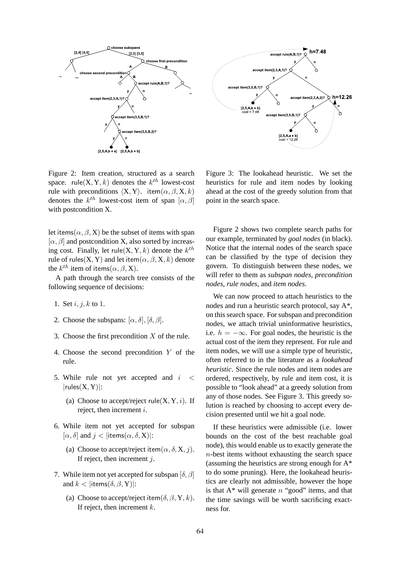

Figure 2: Item creation, structured as a search space. rule $(X, Y, k)$  denotes the  $k^{th}$  lowest-cost rule with preconditions  $(X, Y)$ . item $(\alpha, \beta, X, k)$ denotes the  $k^{th}$  lowest-cost item of span  $[\alpha, \beta]$ with postcondition X.

let items( $\alpha$ ,  $\beta$ , X) be the subset of items with span  $[\alpha, \beta]$  and postcondition X, also sorted by increasing cost. Finally, let rule $(X, Y, k)$  denote the  $k^{th}$ rule of rules(X, Y) and let item( $\alpha$ ,  $\beta$ , X, k) denote the  $k^{th}$  item of items $(\alpha, \beta, \mathrm{X})$ .

A path through the search tree consists of the following sequence of decisions:

- 1. Set  $i, j, k$  to 1.
- 2. Choose the subspans:  $[\alpha, \delta], [\delta, \beta]$ .
- 3. Choose the first precondition  $X$  of the rule.
- 4. Choose the second precondition Y of the rule.
- 5. While rule not yet accepted and  $i <$  $|rules(X, Y)|$ :
	- (a) Choose to accept/reject rule $(X, Y, i)$ . If reject, then increment i.
- 6. While item not yet accepted for subspan  $[\alpha, \delta]$  and  $j <$  |items $(\alpha, \delta, X)$ |:
	- (a) Choose to accept/reject item $(\alpha, \delta, X, j)$ . If reject, then increment  $i$ .
- 7. While item not yet accepted for subspan  $[\delta, \beta]$ and  $k <$  |items( $\delta, \beta, Y$ )|:
	- (a) Choose to accept/reject item( $\delta$ ,  $\beta$ , Y, k). If reject, then increment  $k$ .

Figure 3: The lookahead heuristic. We set the heuristics for rule and item nodes by looking ahead at the cost of the greedy solution from that point in the search space.

Figure 2 shows two complete search paths for our example, terminated by *goal nodes* (in black). Notice that the internal nodes of the search space can be classified by the type of decision they govern. To distinguish between these nodes, we will refer to them as *subspan nodes*, *precondition nodes*, *rule nodes*, and *item nodes*.

We can now proceed to attach heuristics to the nodes and run a heuristic search protocol, say A\*, on this search space. For subspan and precondition nodes, we attach trivial uninformative heuristics, i.e.  $h = -\infty$ . For goal nodes, the heuristic is the actual cost of the item they represent. For rule and item nodes, we will use a simple type of heuristic, often referred to in the literature as a *lookahead heuristic*. Since the rule nodes and item nodes are ordered, respectively, by rule and item cost, it is possible to "look ahead" at a greedy solution from any of those nodes. See Figure 3. This greedy solution is reached by choosing to accept every decision presented until we hit a goal node.

If these heuristics were admissible (i.e. lower bounds on the cost of the best reachable goal node), this would enable us to exactly generate the n-best items without exhausting the search space (assuming the heuristics are strong enough for A\* to do some pruning). Here, the lookahead heuristics are clearly not admissible, however the hope is that  $A^*$  will generate n "good" items, and that the time savings will be worth sacrificing exactness for.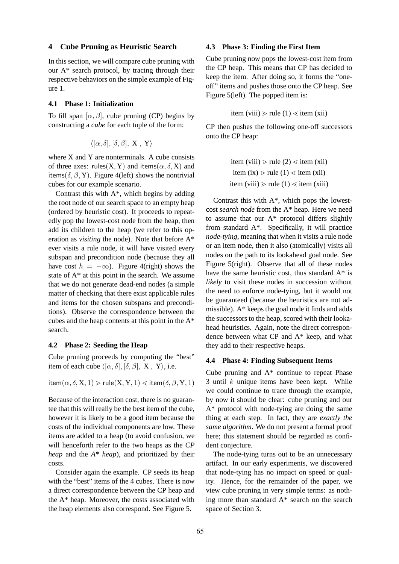#### **4 Cube Pruning as Heuristic Search**

In this section, we will compare cube pruning with our  $A^*$  search protocol, by tracing through their respective behaviors on the simple example of Figure 1.

#### **4.1 Phase 1: Initialization**

To fill span  $[\alpha, \beta]$ , cube pruning (CP) begins by constructing a *cube* for each tuple of the form:

$$
\langle [\alpha, \delta], [\delta, \beta], \mathbf{X}, \mathbf{Y} \rangle
$$

where X and Y are nonterminals. A cube consists of three axes: rules(X, Y) and items( $\alpha$ ,  $\delta$ , X) and items( $\delta$ ,  $\beta$ , Y). Figure 4(left) shows the nontrivial cubes for our example scenario.

Contrast this with  $A^*$ , which begins by adding the root node of our search space to an empty heap (ordered by heuristic cost). It proceeds to repeatedly pop the lowest-cost node from the heap, then add its children to the heap (we refer to this operation as *visiting* the node). Note that before A\* ever visits a rule node, it will have visited every subspan and precondition node (because they all have cost  $h = -\infty$ ). Figure 4(right) shows the state of A\* at this point in the search. We assume that we do not generate dead-end nodes (a simple matter of checking that there exist applicable rules and items for the chosen subspans and preconditions). Observe the correspondence between the cubes and the heap contents at this point in the A\* search.

#### **4.2 Phase 2: Seeding the Heap**

Cube pruning proceeds by computing the "best" item of each cube  $\langle [\alpha, \delta], [\delta, \beta], X, Y \rangle$ , i.e.

$$
item(\alpha, \delta, X, 1) > rule(X, Y, 1) < item(\delta, \beta, Y, 1)
$$

Because of the interaction cost, there is no guarantee that this will really be the best item of the cube, however it is likely to be a good item because the costs of the individual components are low. These items are added to a heap (to avoid confusion, we will henceforth refer to the two heaps as the *CP heap* and the *A\* heap*), and prioritized by their costs.

Consider again the example. CP seeds its heap with the "best" items of the 4 cubes. There is now a direct correspondence between the CP heap and the A\* heap. Moreover, the costs associated with the heap elements also correspond. See Figure 5.

#### **4.3 Phase 3: Finding the First Item**

Cube pruning now pops the lowest-cost item from the CP heap. This means that CP has decided to keep the item. After doing so, it forms the "oneoff" items and pushes those onto the CP heap. See Figure 5(left). The popped item is:

item (viii) 
$$
>
$$
 rule (1)  $\lt$  item (xii)

CP then pushes the following one-off successors onto the CP heap:

\n
$$
\text{item (viii)} > \text{rule}(2) \leq \text{item (xii)}
$$
\n  
\n $\text{item (ix)} > \text{rule}(1) \leq \text{item (xii)}$ \n  
\n $\text{item (viii)} > \text{rule}(1) \leq \text{item (xiii)}$ \n

Contrast this with  $A^*$ , which pops the lowestcost *search node* from the A\* heap. Here we need to assume that our A\* protocol differs slightly from standard A\*. Specifically, it will practice *node-tying*, meaning that when it visits a rule node or an item node, then it also (atomically) visits all nodes on the path to its lookahead goal node. See Figure 5(right). Observe that all of these nodes have the same heuristic cost, thus standard A\* is *likely* to visit these nodes in succession without the need to enforce node-tying, but it would not be guaranteed (because the heuristics are not admissible). A\* keeps the goal node it finds and adds the successors to the heap, scored with their lookahead heuristics. Again, note the direct correspondence between what CP and A\* keep, and what they add to their respective heaps.

#### **4.4 Phase 4: Finding Subsequent Items**

Cube pruning and A\* continue to repeat Phase 3 until  $k$  unique items have been kept. While we could continue to trace through the example, by now it should be clear: cube pruning and our A\* protocol with node-tying are doing the same thing at each step. In fact, they are *exactly the same algorithm*. We do not present a formal proof here; this statement should be regarded as confident conjecture.

The node-tying turns out to be an unnecessary artifact. In our early experiments, we discovered that node-tying has no impact on speed or quality. Hence, for the remainder of the paper, we view cube pruning in very simple terms: as nothing more than standard A\* search on the search space of Section 3.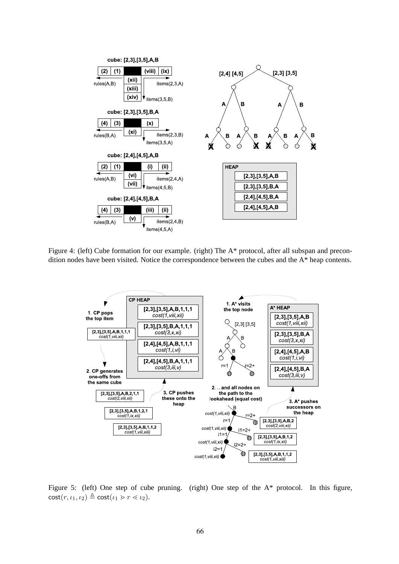

Figure 4: (left) Cube formation for our example. (right) The A\* protocol, after all subspan and precondition nodes have been visited. Notice the correspondence between the cubes and the A\* heap contents.



Figure 5: (left) One step of cube pruning. (right) One step of the A\* protocol. In this figure,  $\cot(r, \iota_1, \iota_2) \triangleq \cot(\iota_1 > r \lt \iota_2).$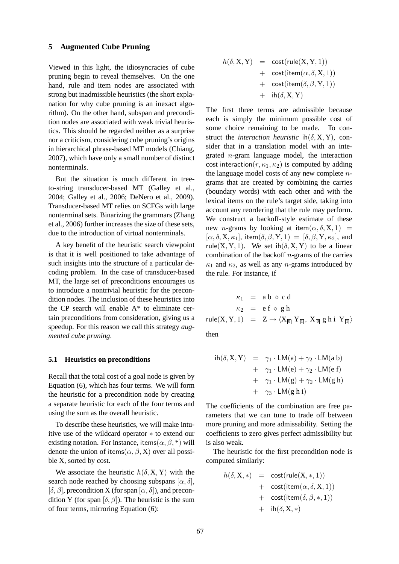#### **5 Augmented Cube Pruning**

Viewed in this light, the idiosyncracies of cube pruning begin to reveal themselves. On the one hand, rule and item nodes are associated with strong but inadmissible heuristics (the short explanation for why cube pruning is an inexact algorithm). On the other hand, subspan and precondition nodes are associated with weak trivial heuristics. This should be regarded neither as a surprise nor a criticism, considering cube pruning's origins in hierarchical phrase-based MT models (Chiang, 2007), which have only a small number of distinct nonterminals.

But the situation is much different in treeto-string transducer-based MT (Galley et al., 2004; Galley et al., 2006; DeNero et al., 2009). Transducer-based MT relies on SCFGs with large nonterminal sets. Binarizing the grammars (Zhang et al., 2006) further increases the size of these sets, due to the introduction of virtual nonterminals.

A key benefit of the heuristic search viewpoint is that it is well positioned to take advantage of such insights into the structure of a particular decoding problem. In the case of transducer-based MT, the large set of preconditions encourages us to introduce a nontrivial heuristic for the precondition nodes. The inclusion of these heuristics into the CP search will enable A\* to eliminate certain preconditions from consideration, giving us a speedup. For this reason we call this strategy *augmented cube pruning*.

#### **5.1 Heuristics on preconditions**

Recall that the total cost of a goal node is given by Equation (6), which has four terms. We will form the heuristic for a precondition node by creating a separate heuristic for each of the four terms and using the sum as the overall heuristic.

To describe these heuristics, we will make intuitive use of the wildcard operator ∗ to extend our existing notation. For instance, items $(\alpha, \beta,^*)$  will denote the union of items( $\alpha$ ,  $\beta$ , X) over all possible X, sorted by cost.

We associate the heuristic  $h(\delta, X, Y)$  with the search node reached by choosing subspans  $[\alpha, \delta]$ ,  $[\delta, \beta]$ , precondition X (for span  $[\alpha, \delta]$ ), and precondition Y (for span  $[\delta, \beta]$ ). The heuristic is the sum of four terms, mirroring Equation (6):

$$
h(\delta, X, Y) = \text{cost}(\text{rule}(X, Y, 1)) + \text{cost}(\text{item}(\alpha, \delta, X, 1)) + \text{cost}(\text{item}(\delta, \beta, Y, 1)) + \text{ih}(\delta, X, Y)
$$

The first three terms are admissible because each is simply the minimum possible cost of some choice remaining to be made. To construct the *interaction heuristic* ih $(\delta, X, Y)$ , consider that in a translation model with an integrated n-gram language model, the interaction cost interaction( $r, \kappa_1, \kappa_2$ ) is computed by adding the language model costs of any new complete  $n$ grams that are created by combining the carries (boundary words) with each other and with the lexical items on the rule's target side, taking into account any reordering that the rule may perform. We construct a backoff-style estimate of these new *n*-grams by looking at item $(\alpha, \delta, X, 1)$  =  $[\alpha, \delta, X, \kappa_1]$ , item $(\delta, \beta, Y, 1) = [\delta, \beta, Y, \kappa_2]$ , and rule(X, Y, 1). We set ih( $\delta$ , X, Y) to be a linear combination of the backoff  $n$ -grams of the carries  $\kappa_1$  and  $\kappa_2$ , as well as any *n*-grams introduced by the rule. For instance, if

$$
\begin{array}{rcl} \kappa_1 & = & a \, b \, \diamond \, c \, d \\[1ex] \kappa_2 & = & e \, f \, \diamond \, g \, h \\[1ex] \mathsf{rule}(X,Y,1) & = & Z \rightarrow \langle X_\text{on} \, Y_\text{on}, \, X_\text{on} \, g \, h \, i \, \, Y_\text{on} \rangle \\[1ex] \mathsf{then} \end{array}
$$

$$
ih(\delta, X, Y) = \gamma_1 \cdot LM(a) + \gamma_2 \cdot LM(a b)
$$
  
+  $\gamma_1 \cdot LM(e) + \gamma_2 \cdot LM(e f)$   
+  $\gamma_1 \cdot LM(g) + \gamma_2 \cdot LM(g h)$   
+  $\gamma_3 \cdot LM(g h i)$ 

The coefficients of the combination are free parameters that we can tune to trade off between more pruning and more admissability. Setting the coefficients to zero gives perfect admissibility but is also weak.

The heuristic for the first precondition node is computed similarly:

$$
h(\delta, \mathbf{X}, *) = \mathsf{cost}(\mathsf{rule}(\mathbf{X}, *, 1)) + \mathsf{cost}(\mathsf{item}(\alpha, \delta, \mathbf{X}, 1)) + \mathsf{cost}(\mathsf{item}(\delta, \beta, *, 1)) + \mathsf{ih}(\delta, \mathbf{X}, *)
$$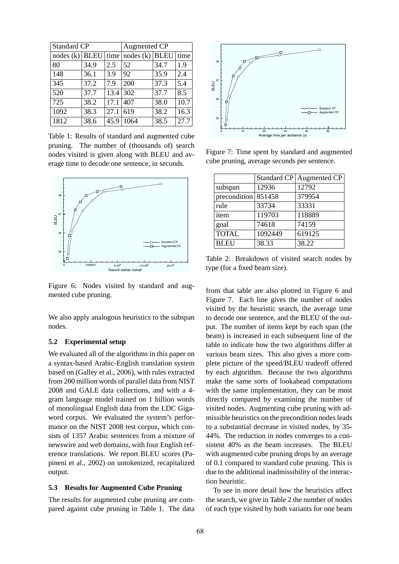| <b>Standard CP</b> |      |      | Augmented CP     |      |      |  |
|--------------------|------|------|------------------|------|------|--|
| nodes $(k)$ BLEU   |      | time | nodes (k)   BLEU |      | time |  |
| 80                 | 34.9 | 2.5  | 52               | 34.7 | 1.9  |  |
| 148                | 36.1 | 3.9  | 92               | 35.9 | 2.4  |  |
| 345                | 37.2 | 7.9  | 200              | 37.3 | 5.4  |  |
| 520                | 37.7 | 13.4 | 302              | 37.7 | 8.5  |  |
| 725                | 38.2 | 17.1 | 407              | 38.0 | 10.7 |  |
| 1092               | 38.3 | 27.1 | 619              | 38.2 | 16.3 |  |
| 1812               | 38.6 | 45.9 | 1064             | 38.5 | 27.7 |  |

Table 1: Results of standard and augmented cube pruning. The number of (thousands of) search nodes visited is given along with BLEU and average time to decode one sentence, in seconds.



Figure 6: Nodes visited by standard and augmented cube pruning.

We also apply analogous heuristics to the subspan nodes.

### **5.2 Experimental setup**

We evaluated all of the algorithms in this paper on a syntax-based Arabic-English translation system based on (Galley et al., 2006), with rules extracted from 200 million words of parallel data from NIST 2008 and GALE data collections, and with a 4 gram language model trained on 1 billion words of monolingual English data from the LDC Gigaword corpus. We evaluated the system's performance on the NIST 2008 test corpus, which consists of 1357 Arabic sentences from a mixture of newswire and web domains, with four English reference translations. We report BLEU scores (Papineni et al., 2002) on untokenized, recapitalized output.

#### **5.3 Results for Augmented Cube Pruning**

The results for augmented cube pruning are compared against cube pruning in Table 1. The data



Figure 7: Time spent by standard and augmented cube pruning, average seconds per sentence.

|                                  | <b>Standard CP</b> | Augmented CP |
|----------------------------------|--------------------|--------------|
| subspan                          | 12936              | 12792        |
| precondition $8514\overline{58}$ |                    | 379954       |
| rule                             | 33734              | 33331        |
| item                             | 119703             | 118889       |
| goal                             | 74618              | 74159        |
| <b>TOTAL</b>                     | 1092449            | 619125       |
| <b>BLEU</b>                      | 38.33              | 38.22        |

Table 2: Breakdown of visited search nodes by type (for a fixed beam size).

from that table are also plotted in Figure 6 and Figure 7. Each line gives the number of nodes visited by the heuristic search, the average time to decode one sentence, and the BLEU of the output. The number of items kept by each span (the beam) is increased in each subsequent line of the table to indicate how the two algorithms differ at various beam sizes. This also gives a more complete picture of the speed/BLEU tradeoff offered by each algorithm. Because the two algorithms make the same sorts of lookahead computations with the same implementation, they can be most directly compared by examining the number of visited nodes. Augmenting cube pruning with admissible heuristics on the precondition nodes leads to a substantial decrease in visited nodes, by 35- 44%. The reduction in nodes converges to a consistent 40% as the beam increases. The BLEU with augmented cube pruning drops by an average of 0.1 compared to standard cube pruning. This is due to the additional inadmissibility of the interaction heuristic.

To see in more detail how the heuristics affect the search, we give in Table 2 the number of nodes of each type visited by both variants for one beam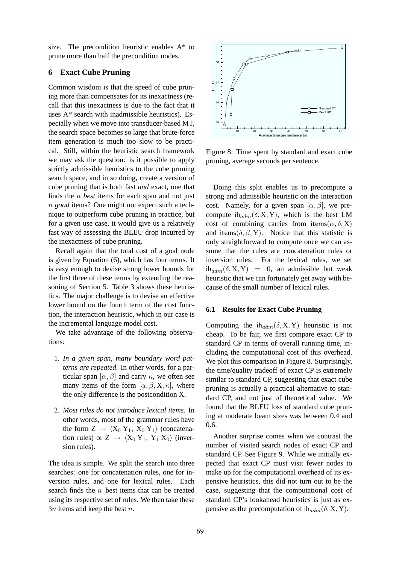size. The precondition heuristic enables A\* to prune more than half the precondition nodes.

## **6 Exact Cube Pruning**

Common wisdom is that the speed of cube pruning more than compensates for its inexactness (recall that this inexactness is due to the fact that it uses A\* search with inadmissible heuristics). Especially when we move into transducer-based MT, the search space becomes so large that brute-force item generation is much too slow to be practical. Still, within the heuristic search framework we may ask the question: is it possible to apply strictly admissible heuristics to the cube pruning search space, and in so doing, create a version of cube pruning that is both fast *and* exact, one that finds the n *best* items for each span and not just n *good* items? One might not expect such a technique to outperform cube pruning in practice, but for a given use case, it would give us a relatively fast way of assessing the BLEU drop incurred by the inexactness of cube pruning.

Recall again that the total cost of a goal node is given by Equation (6), which has four terms. It is easy enough to devise strong lower bounds for the first three of these terms by extending the reasoning of Section 5. Table 3 shows these heuristics. The major challenge is to devise an effective lower bound on the fourth term of the cost function, the interaction heuristic, which in our case is the incremental language model cost.

We take advantage of the following observations:

- 1. *In a given span, many boundary word patterns are repeated.* In other words, for a particular span  $[\alpha, \beta]$  and carry  $\kappa$ , we often see many items of the form  $[\alpha, \beta, X, \kappa]$ , where the only difference is the postcondition X.
- 2. *Most rules do not introduce lexical items.* In other words, most of the grammar rules have the form  $Z \rightarrow \langle X_0 Y_1, X_0 Y_1 \rangle$  (concatenation rules) or  $Z \rightarrow \langle X_0, Y_1, Y_1, X_0 \rangle$  (inversion rules).

The idea is simple. We split the search into three searches: one for concatenation rules, one for inversion rules, and one for lexical rules. Each search finds the  $n$ -best items that can be created using its respective set of rules. We then take these  $3n$  items and keep the best n.



Figure 8: Time spent by standard and exact cube pruning, average seconds per sentence.

Doing this split enables us to precompute a strong and admissible heuristic on the interaction cost. Namely, for a given span  $[\alpha, \beta]$ , we precompute  $ih_{adm}(\delta, X, Y)$ , which is the best LM cost of combining carries from items( $\alpha$ ,  $\delta$ , X) and items( $\delta$ ,  $\beta$ , Y). Notice that this statistic is only straightforward to compute once we can assume that the rules are concatenation rules or inversion rules. For the lexical rules, we set  $ih_{adm}(\delta, X, Y) = 0$ , an admissible but weak heuristic that we can fortunately get away with because of the small number of lexical rules.

#### **6.1 Results for Exact Cube Pruning**

Computing the  $ih_{adm}(\delta, X, Y)$  heuristic is not cheap. To be fair, we first compare exact CP to standard CP in terms of overall running time, including the computational cost of this overhead. We plot this comparison in Figure 8. Surprisingly, the time/quality tradeoff of exact CP is extremely similar to standard CP, suggesting that exact cube pruning is actually a practical alternative to standard CP, and not just of theoretical value. We found that the BLEU loss of standard cube pruning at moderate beam sizes was between 0.4 and 0.6.

Another surprise comes when we contrast the number of visited search nodes of exact CP and standard CP. See Figure 9. While we initially expected that exact CP must visit fewer nodes to make up for the computational overhead of its expensive heuristics, this did not turn out to be the case, suggesting that the computational cost of standard CP's lookahead heuristics is just as expensive as the precomputation of  $ih_{adm}(\delta, X, Y)$ .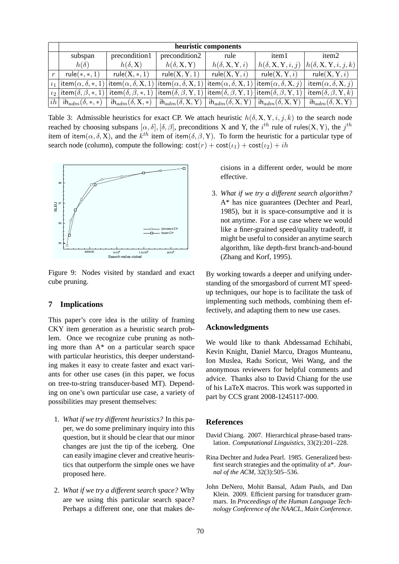|                  | heuristic components                            |                               |                                     |                                                                     |                                             |                                                |  |  |  |
|------------------|-------------------------------------------------|-------------------------------|-------------------------------------|---------------------------------------------------------------------|---------------------------------------------|------------------------------------------------|--|--|--|
|                  | subspan                                         | precondition1                 | precondition2                       | rule                                                                | item1                                       | item <sub>2</sub>                              |  |  |  |
|                  | $h(\delta)$                                     | $h(\delta, \mathbf{X})$       | $h(\delta, \mathbf{X}, \mathbf{Y})$ | $h(\delta, \mathbf{X}, \mathbf{Y}, i)$                              | $h(\delta, \mathbf{X}, \mathbf{Y}, i, j)$   | $ h(\delta, \mathbf{X}, \mathbf{Y}, i, j, k) $ |  |  |  |
| $\boldsymbol{r}$ | $rule(*,*,1)$                                   | $rule(X, *, 1))$              | rule(X, Y, 1)                       | rule(X, Y, i)                                                       | rule(X, Y, i)                               | rule(X, Y, i)                                  |  |  |  |
| $\iota_1$        | item $(\alpha, \delta, *, 1)$                   | item $(\alpha, \delta, X, 1)$ | item $(\alpha, \delta, X, 1)$       | item $(\alpha, \delta, X, 1)$                                       | item $(\alpha, \delta, X, j)$               | item $(\alpha, \delta, X, j)$                  |  |  |  |
|                  | $\iota_2$   item $(\delta, \beta, *, 1)$        | item $(\delta, \beta, *, 1)$  | item $(\delta, \beta, Y, 1)$        | $ \textsf{item}(\delta, \beta, Y, 1) $ item $(\delta, \beta, Y, 1)$ |                                             | item $(\delta, \beta, Y, k)$                   |  |  |  |
| ih               | $\mathsf{h}_{\mathit{adm}}(\delta, \ast, \ast)$ | $ih_{adm}(\delta, X, *)$      | $ih_{adm}(\delta, X, Y)$            | $\mathsf{ih}_{adm}(\delta, \mathrm{X}, \mathrm{Y})$                 | , ih $_{adm}(\delta,\mathrm{X},\mathrm{Y})$ | $ih_{adm}(\delta, X, Y)$                       |  |  |  |

Table 3: Admissible heuristics for exact CP. We attach heuristic  $h(\delta, X, Y, i, j, k)$  to the search node reached by choosing subspans  $[\alpha, \delta], [\delta, \beta]$ , preconditions X and Y, the  $i^{th}$  rule of rules(X, Y), the  $j^{th}$ item of item $(\alpha, \delta, X)$ , and the  $k^{th}$  item of item $(\delta, \beta, Y)$ . To form the heuristic for a particular type of search node (column), compute the following:  $cost(r) + cost(\iota_1) + cost(\iota_2) + ih$ 



Figure 9: Nodes visited by standard and exact cube pruning.

## **7 Implications**

This paper's core idea is the utility of framing CKY item generation as a heuristic search problem. Once we recognize cube pruning as nothing more than A\* on a particular search space with particular heuristics, this deeper understanding makes it easy to create faster and exact variants for other use cases (in this paper, we focus on tree-to-string transducer-based MT). Depending on one's own particular use case, a variety of possibilities may present themselves:

- 1. *What if we try different heuristics?* In this paper, we do some preliminary inquiry into this question, but it should be clear that our minor changes are just the tip of the iceberg. One can easily imagine clever and creative heuristics that outperform the simple ones we have proposed here.
- 2. *What if we try a different search space?* Why are we using this particular search space? Perhaps a different one, one that makes de-

cisions in a different order, would be more effective.

3. *What if we try a different search algorithm?* A\* has nice guarantees (Dechter and Pearl, 1985), but it is space-consumptive and it is not anytime. For a use case where we would like a finer-grained speed/quality tradeoff, it might be useful to consider an anytime search algorithm, like depth-first branch-and-bound (Zhang and Korf, 1995).

By working towards a deeper and unifying understanding of the smorgasbord of current MT speedup techniques, our hope is to facilitate the task of implementing such methods, combining them effectively, and adapting them to new use cases.

### **Acknowledgments**

We would like to thank Abdessamad Echihabi, Kevin Knight, Daniel Marcu, Dragos Munteanu, Ion Muslea, Radu Soricut, Wei Wang, and the anonymous reviewers for helpful comments and advice. Thanks also to David Chiang for the use of his LaTeX macros. This work was supported in part by CCS grant 2008-1245117-000.

### **References**

- David Chiang. 2007. Hierarchical phrase-based translation. *Computational Linguistics*, 33(2):201–228.
- Rina Dechter and Judea Pearl. 1985. Generalized bestfirst search strategies and the optimality of a\*. *Journal of the ACM*, 32(3):505–536.
- John DeNero, Mohit Bansal, Adam Pauls, and Dan Klein. 2009. Efficient parsing for transducer grammars. In *Proceedings of the Human Language Technology Conference of the NAACL, Main Conference*.